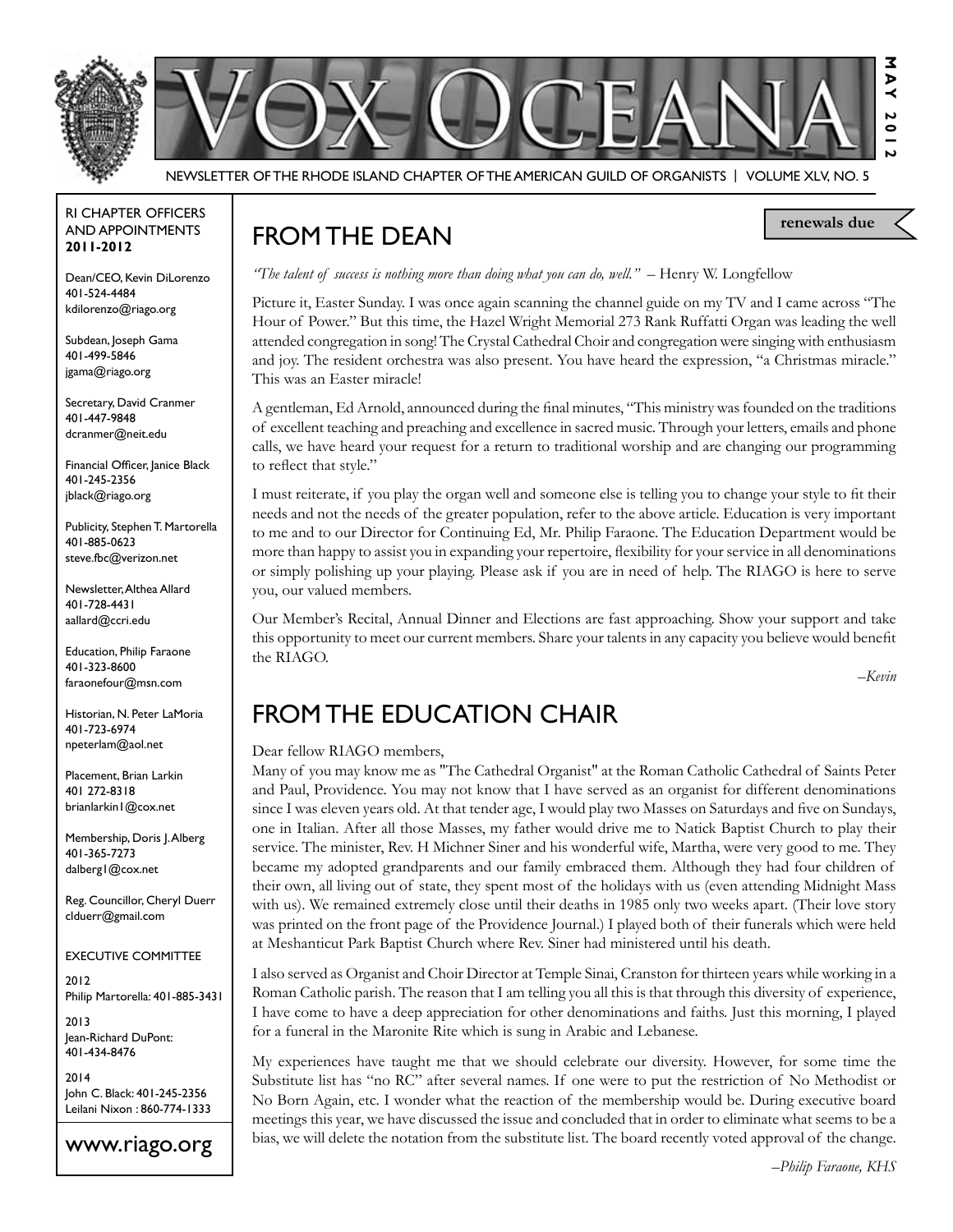

Newsletter of the Rhode Island Chapter of the American Guild of OrganistS | Volume XLV, No. 5

#### RI Chapter Officers and Appointments **2011-2012**

Dean/CEO, Kevin DiLorenzo 401-524-4484 kdilorenzo@riago.org

Subdean, Joseph Gama 401-499-5846 jgama@riago.org

Secretary, David Cranmer 401-447-9848 dcranmer@neit.edu

Financial Officer, Janice Black 401-245-2356 jblack@riago.org

Publicity, Stephen T. Martorella 401-885-0623 steve.fbc@verizon.net

Newsletter, Althea Allard 401-728-4431 aallard@ccri.edu

Education, Philip Faraone 401-323-8600 faraonefour@msn.com

Historian, N. Peter LaMoria 401-723-6974 npeterlam@aol.net

Placement, Brian Larkin 401 272-8318 brianlarkin1@cox.net

Membership, Doris J. Alberg 401-365-7273 dalberg1@cox.net

Reg. Councillor, Cheryl Duerr clduerr@gmail.com

#### Executive Committee

2012 Philip Martorella: 401-885-3431

2013 Jean-Richard DuPont: 401-434-8476

2014 John C. Black: 401-245-2356 Leilani Nixon : 860-774-1333

## www.riago.org

# FROM THE DEAN

*"The talent of success is nothing more than doing what you can do, well."* – Henry W. Longfellow

Picture it, Easter Sunday. I was once again scanning the channel guide on my TV and I came across "The Hour of Power." But this time, the Hazel Wright Memorial 273 Rank Ruffatti Organ was leading the well attended congregation in song! The Crystal Cathedral Choir and congregation were singing with enthusiasm and joy. The resident orchestra was also present. You have heard the expression, "a Christmas miracle." This was an Easter miracle!

A gentleman, Ed Arnold, announced during the final minutes, "This ministry was founded on the traditions of excellent teaching and preaching and excellence in sacred music. Through your letters, emails and phone calls, we have heard your request for a return to traditional worship and are changing our programming to reflect that style."

I must reiterate, if you play the organ well and someone else is telling you to change your style to fit their needs and not the needs of the greater population, refer to the above article. Education is very important to me and to our Director for Continuing Ed, Mr. Philip Faraone. The Education Department would be more than happy to assist you in expanding your repertoire, flexibility for your service in all denominations or simply polishing up your playing. Please ask if you are in need of help. The RIAGO is here to serve you, our valued members.

Our Member's Recital, Annual Dinner and Elections are fast approaching. Show your support and take this opportunity to meet our current members. Share your talents in any capacity you believe would benefit the RIAGO.

*–Kevin*

**renewals due**

# from the Education Chair

#### Dear fellow RIAGO members,

Many of you may know me as "The Cathedral Organist" at the Roman Catholic Cathedral of Saints Peter and Paul, Providence. You may not know that I have served as an organist for different denominations since I was eleven years old. At that tender age, I would play two Masses on Saturdays and five on Sundays, one in Italian. After all those Masses, my father would drive me to Natick Baptist Church to play their service. The minister, Rev. H Michner Siner and his wonderful wife, Martha, were very good to me. They became my adopted grandparents and our family embraced them. Although they had four children of their own, all living out of state, they spent most of the holidays with us (even attending Midnight Mass with us). We remained extremely close until their deaths in 1985 only two weeks apart. (Their love story was printed on the front page of the Providence Journal.) I played both of their funerals which were held at Meshanticut Park Baptist Church where Rev. Siner had ministered until his death.

I also served as Organist and Choir Director at Temple Sinai, Cranston for thirteen years while working in a Roman Catholic parish. The reason that I am telling you all this is that through this diversity of experience, I have come to have a deep appreciation for other denominations and faiths. Just this morning, I played for a funeral in the Maronite Rite which is sung in Arabic and Lebanese.

My experiences have taught me that we should celebrate our diversity. However, for some time the Substitute list has "no RC" after several names. If one were to put the restriction of No Methodist or No Born Again, etc. I wonder what the reaction of the membership would be. During executive board meetings this year, we have discussed the issue and concluded that in order to eliminate what seems to be a bias, we will delete the notation from the substitute list. The board recently voted approval of the change.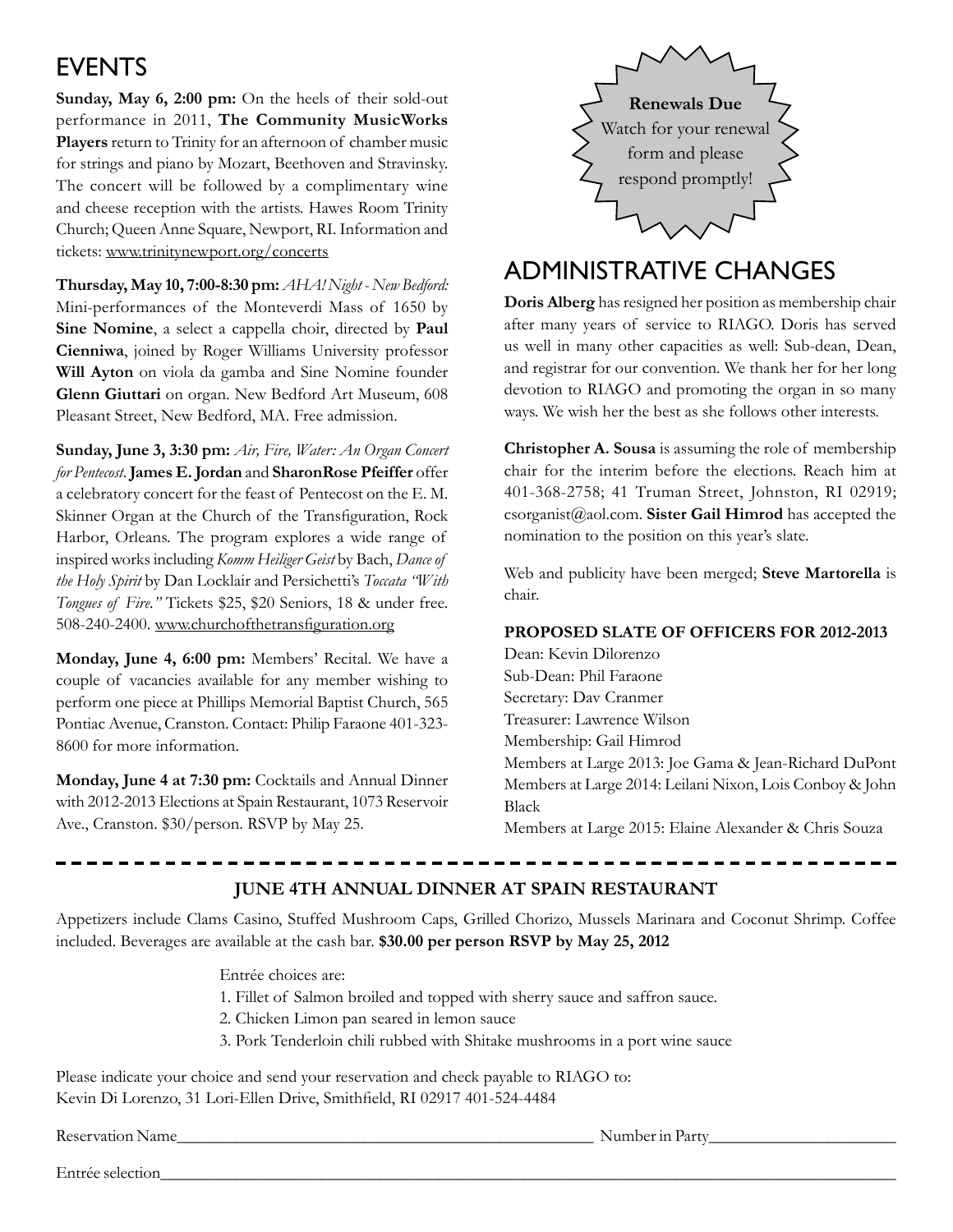# **EVENTS**

**Sunday, May 6, 2:00 pm:** On the heels of their sold-out performance in 2011, **The Community MusicWorks Players** return to Trinity for an afternoon of chamber music for strings and piano by Mozart, Beethoven and Stravinsky. The concert will be followed by a complimentary wine and cheese reception with the artists. Hawes Room Trinity Church; Queen Anne Square, Newport, RI. Information and tickets: www.trinitynewport.org/concerts

**Thursday, May 10, 7:00-8:30 pm:** *AHA! Night - New Bedford:* Mini-performances of the Monteverdi Mass of 1650 by **Sine Nomine**, a select a cappella choir, directed by **Paul Cienniwa**, joined by Roger Williams University professor **Will Ayton** on viola da gamba and Sine Nomine founder **Glenn Giuttari** on organ. New Bedford Art Museum, 608 Pleasant Street, New Bedford, MA. Free admission.

**Sunday, June 3, 3:30 pm:** *Air, Fire, Water: An Organ Concert for Pentecost*. **James E. Jordan** and **SharonRose Pfeiffer** offer a celebratory concert for the feast of Pentecost on the E. M. Skinner Organ at the Church of the Transfiguration, Rock Harbor, Orleans. The program explores a wide range of inspired works including *Komm Heiliger Geist* by Bach, *Dance of the Holy Spirit* by Dan Locklair and Persichetti's *Toccata "With Tongues of Fire."* Tickets \$25, \$20 Seniors, 18 & under free. 508-240-2400. www.churchofthetransfiguration.org

**Monday, June 4, 6:00 pm:** Members' Recital. We have a couple of vacancies available for any member wishing to perform one piece at Phillips Memorial Baptist Church, 565 Pontiac Avenue, Cranston. Contact: Philip Faraone 401-323- 8600 for more information.

**Monday, June 4 at 7:30 pm:** Cocktails and Annual Dinner with 2012-2013 Elections at Spain Restaurant, 1073 Reservoir Ave., Cranston. \$30/person. RSVP by May 25.



## Administrative changes

**Doris Alberg** has resigned her position as membership chair after many years of service to RIAGO. Doris has served us well in many other capacities as well: Sub-dean, Dean, and registrar for our convention. We thank her for her long devotion to RIAGO and promoting the organ in so many ways. We wish her the best as she follows other interests.

**Christopher A. Sousa** is assuming the role of membership chair for the interim before the elections. Reach him at 401-368-2758; 41 Truman Street, Johnston, RI 02919; csorganist@aol.com. **Sister Gail Himrod** has accepted the nomination to the position on this year's slate.

Web and publicity have been merged; **Steve Martorella** is chair.

### **Proposed Slate of Officers for 2012-2013**

Dean: Kevin Dilorenzo Sub-Dean: Phil Faraone Secretary: Dav Cranmer Treasurer: Lawrence Wilson Membership: Gail Himrod Members at Large 2013: Joe Gama & Jean-Richard DuPont Members at Large 2014: Leilani Nixon, Lois Conboy & John Black Members at Large 2015: Elaine Alexander & Chris Souza

## **June 4th Annual Dinner at Spain Restaurant**

Appetizers include Clams Casino, Stuffed Mushroom Caps, Grilled Chorizo, Mussels Marinara and Coconut Shrimp. Coffee included. Beverages are available at the cash bar. **\$30.00 per person RSVP by May 25, 2012**

> Entrée choices are: 1. Fillet of Salmon broiled and topped with sherry sauce and saffron sauce.

- 2. Chicken Limon pan seared in lemon sauce
- 3. Pork Tenderloin chili rubbed with Shitake mushrooms in a port wine sauce

Please indicate your choice and send your reservation and check payable to RIAGO to: Kevin Di Lorenzo, 31 Lori-Ellen Drive, Smithfield, RI 02917 401-524-4484

Reservation Name\_\_\_\_\_\_\_\_\_\_\_\_\_\_\_\_\_\_\_\_\_\_\_\_\_\_\_\_\_\_\_\_\_\_\_\_\_\_\_\_\_\_\_\_\_\_\_\_\_ Number in Party\_\_\_\_\_\_\_\_\_\_\_\_\_\_\_\_\_\_\_\_\_\_

Entrée selection